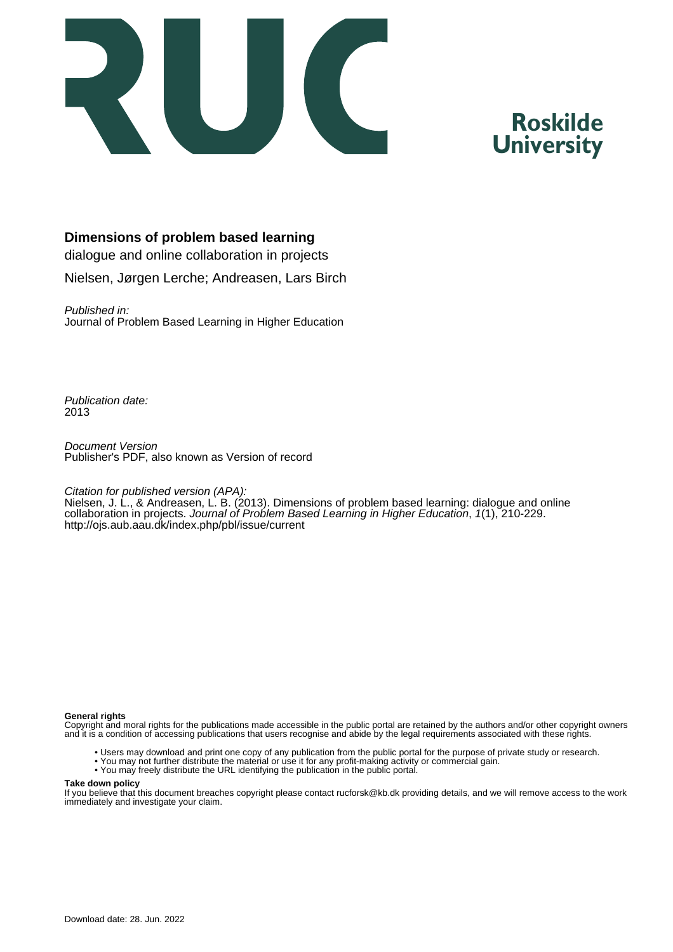

# **Roskilde University**

# **Dimensions of problem based learning**

dialogue and online collaboration in projects Nielsen, Jørgen Lerche; Andreasen, Lars Birch

Published in: Journal of Problem Based Learning in Higher Education

Publication date: 2013

Document Version Publisher's PDF, also known as Version of record

#### Citation for published version (APA):

Nielsen, J. L., & Andreasen, L. B. (2013). Dimensions of problem based learning: dialogue and online collaboration in projects. Journal of Problem Based Learning in Higher Education, 1(1), 210-229. <http://ojs.aub.aau.dk/index.php/pbl/issue/current>

#### **General rights**

Copyright and moral rights for the publications made accessible in the public portal are retained by the authors and/or other copyright owners and it is a condition of accessing publications that users recognise and abide by the legal requirements associated with these rights.

- Users may download and print one copy of any publication from the public portal for the purpose of private study or research.
- You may not further distribute the material or use it for any profit-making activity or commercial gain.
- You may freely distribute the URL identifying the publication in the public portal.

#### **Take down policy**

If you believe that this document breaches copyright please contact rucforsk@kb.dk providing details, and we will remove access to the work immediately and investigate your claim.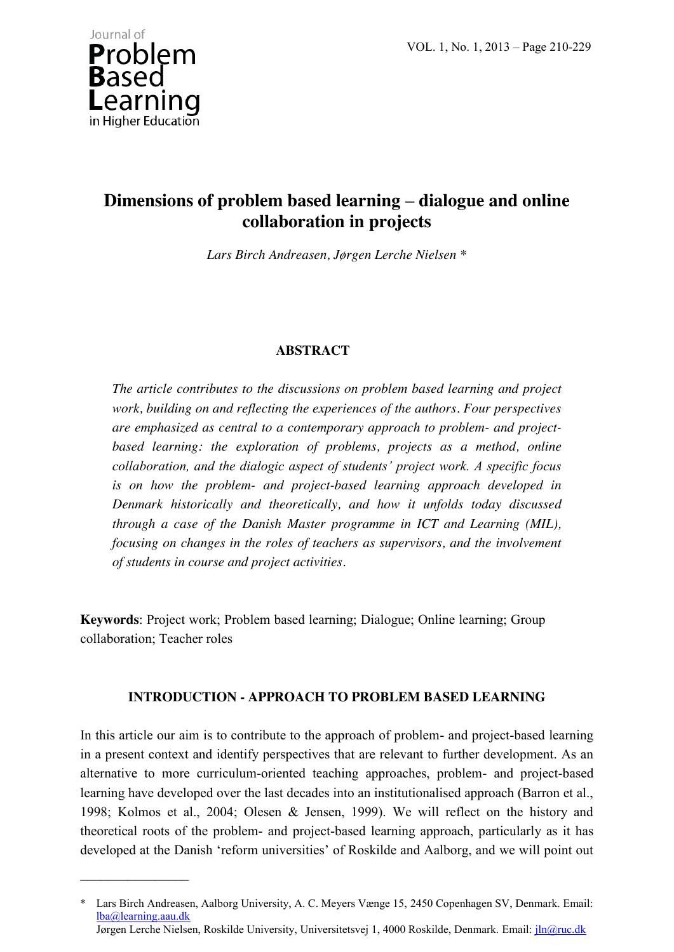

 $\frac{1}{2}$ 

# **Dimensions of problem based learning – dialogue and online collaboration in projects**

*Lars Birch Andreasen, Jørgen Lerche Nielsen \**

# **ABSTRACT**

*The article contributes to the discussions on problem based learning and project work, building on and reflecting the experiences of the authors. Four perspectives are emphasized as central to a contemporary approach to problem- and projectbased learning: the exploration of problems, projects as a method, online collaboration, and the dialogic aspect of students' project work. A specific focus is on how the problem- and project-based learning approach developed in Denmark historically and theoretically, and how it unfolds today discussed through a case of the Danish Master programme in ICT and Learning (MIL), focusing on changes in the roles of teachers as supervisors, and the involvement of students in course and project activities.*

**Keywords**: Project work; Problem based learning; Dialogue; Online learning; Group collaboration; Teacher roles

# **INTRODUCTION - APPROACH TO PROBLEM BASED LEARNING**

In this article our aim is to contribute to the approach of problem- and project-based learning in a present context and identify perspectives that are relevant to further development. As an alternative to more curriculum-oriented teaching approaches, problem- and project-based learning have developed over the last decades into an institutionalised approach (Barron et al., 1998; Kolmos et al., 2004; Olesen & Jensen, 1999). We will reflect on the history and theoretical roots of the problem- and project-based learning approach, particularly as it has developed at the Danish 'reform universities' of Roskilde and Aalborg, and we will point out

<sup>\*</sup> Lars Birch Andreasen, Aalborg University, A. C. Meyers Vænge 15, 2450 Copenhagen SV, Denmark. Email: lba@learning.aau.dk Jørgen Lerche Nielsen, Roskilde University, Universitetsvej 1, 4000 Roskilde, Denmark. Email: jln@ruc.dk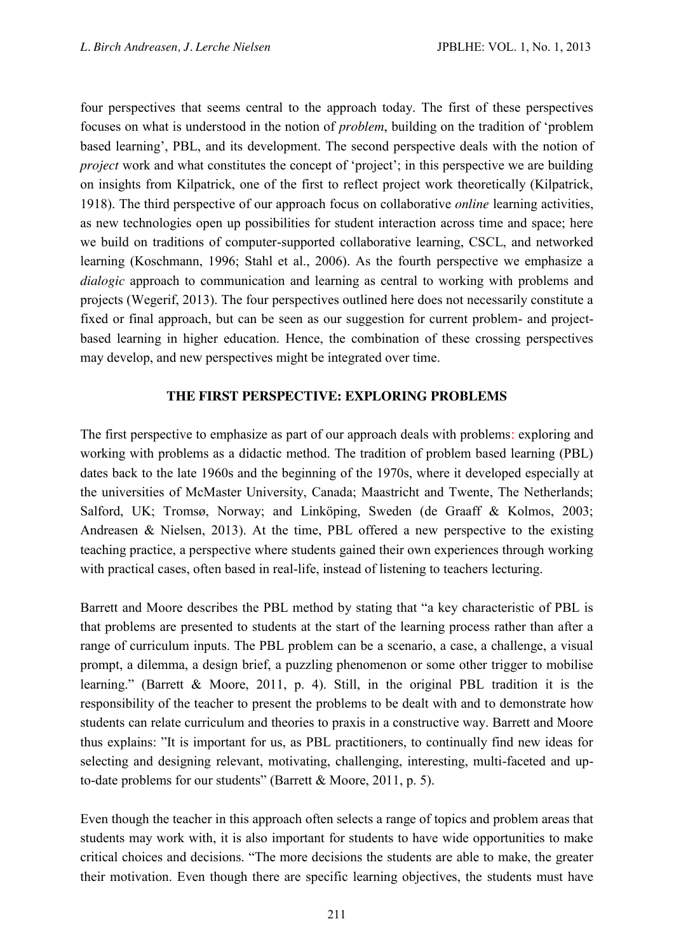four perspectives that seems central to the approach today. The first of these perspectives focuses on what is understood in the notion of *problem*, building on the tradition of 'problem based learning', PBL, and its development. The second perspective deals with the notion of *project* work and what constitutes the concept of 'project'; in this perspective we are building on insights from Kilpatrick, one of the first to reflect project work theoretically (Kilpatrick, 1918). The third perspective of our approach focus on collaborative *online* learning activities, as new technologies open up possibilities for student interaction across time and space; here we build on traditions of computer-supported collaborative learning, CSCL, and networked learning (Koschmann, 1996; Stahl et al., 2006). As the fourth perspective we emphasize a *dialogic* approach to communication and learning as central to working with problems and projects (Wegerif, 2013). The four perspectives outlined here does not necessarily constitute a fixed or final approach, but can be seen as our suggestion for current problem- and projectbased learning in higher education. Hence, the combination of these crossing perspectives may develop, and new perspectives might be integrated over time.

### **THE FIRST PERSPECTIVE: EXPLORING PROBLEMS**

The first perspective to emphasize as part of our approach deals with problems: exploring and working with problems as a didactic method. The tradition of problem based learning (PBL) dates back to the late 1960s and the beginning of the 1970s, where it developed especially at the universities of McMaster University, Canada; Maastricht and Twente, The Netherlands; Salford, UK; Tromsø, Norway; and Linköping, Sweden (de Graaff & Kolmos, 2003; Andreasen & Nielsen, 2013). At the time, PBL offered a new perspective to the existing teaching practice, a perspective where students gained their own experiences through working with practical cases, often based in real-life, instead of listening to teachers lecturing.

Barrett and Moore describes the PBL method by stating that "a key characteristic of PBL is that problems are presented to students at the start of the learning process rather than after a range of curriculum inputs. The PBL problem can be a scenario, a case, a challenge, a visual prompt, a dilemma, a design brief, a puzzling phenomenon or some other trigger to mobilise learning." (Barrett & Moore, 2011, p. 4). Still, in the original PBL tradition it is the responsibility of the teacher to present the problems to be dealt with and to demonstrate how students can relate curriculum and theories to praxis in a constructive way. Barrett and Moore thus explains: "It is important for us, as PBL practitioners, to continually find new ideas for selecting and designing relevant, motivating, challenging, interesting, multi-faceted and upto-date problems for our students" (Barrett & Moore, 2011, p. 5).

Even though the teacher in this approach often selects a range of topics and problem areas that students may work with, it is also important for students to have wide opportunities to make critical choices and decisions. "The more decisions the students are able to make, the greater their motivation. Even though there are specific learning objectives, the students must have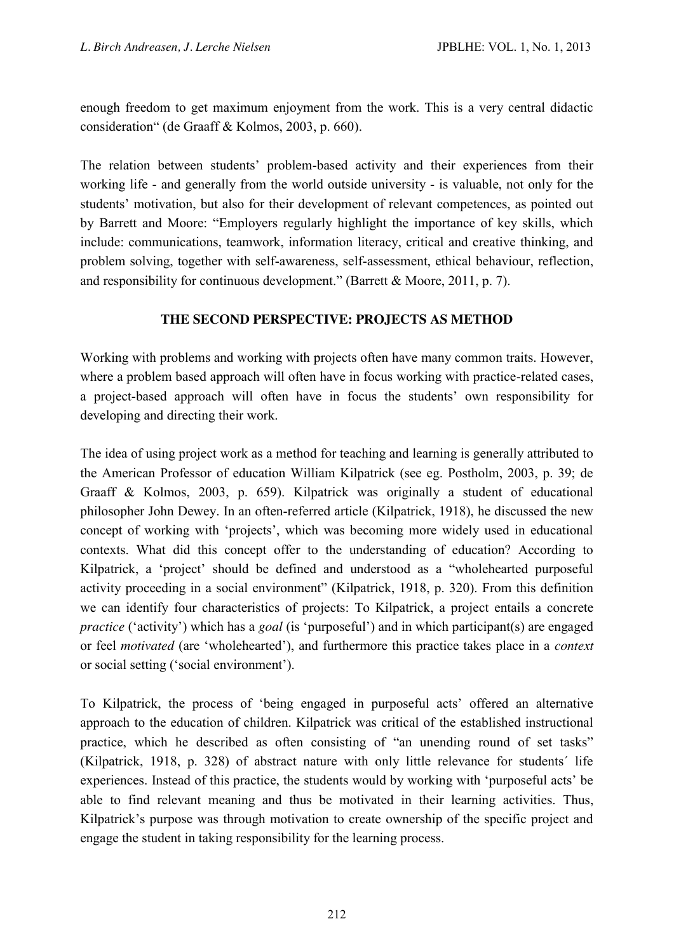enough freedom to get maximum enjoyment from the work. This is a very central didactic consideration" (de Graaff & Kolmos, 2003, p. 660).

The relation between students' problem-based activity and their experiences from their working life - and generally from the world outside university - is valuable, not only for the students' motivation, but also for their development of relevant competences, as pointed out by Barrett and Moore: "Employers regularly highlight the importance of key skills, which include: communications, teamwork, information literacy, critical and creative thinking, and problem solving, together with self-awareness, self-assessment, ethical behaviour, reflection, and responsibility for continuous development." (Barrett & Moore, 2011, p. 7).

# **THE SECOND PERSPECTIVE: PROJECTS AS METHOD**

Working with problems and working with projects often have many common traits. However, where a problem based approach will often have in focus working with practice-related cases, a project-based approach will often have in focus the students' own responsibility for developing and directing their work.

The idea of using project work as a method for teaching and learning is generally attributed to the American Professor of education William Kilpatrick (see eg. Postholm, 2003, p. 39; de Graaff & Kolmos, 2003, p. 659). Kilpatrick was originally a student of educational philosopher John Dewey. In an often-referred article (Kilpatrick, 1918), he discussed the new concept of working with 'projects', which was becoming more widely used in educational contexts. What did this concept offer to the understanding of education? According to Kilpatrick, a 'project' should be defined and understood as a "wholehearted purposeful activity proceeding in a social environment" (Kilpatrick, 1918, p. 320). From this definition we can identify four characteristics of projects: To Kilpatrick, a project entails a concrete *practice* ('activity') which has a *goal* (is 'purposeful') and in which participant(s) are engaged or feel *motivated* (are 'wholehearted'), and furthermore this practice takes place in a *context*  or social setting ('social environment').

To Kilpatrick, the process of 'being engaged in purposeful acts' offered an alternative approach to the education of children. Kilpatrick was critical of the established instructional practice, which he described as often consisting of "an unending round of set tasks" (Kilpatrick, 1918, p. 328) of abstract nature with only little relevance for students´ life experiences. Instead of this practice, the students would by working with 'purposeful acts' be able to find relevant meaning and thus be motivated in their learning activities. Thus, Kilpatrick's purpose was through motivation to create ownership of the specific project and engage the student in taking responsibility for the learning process.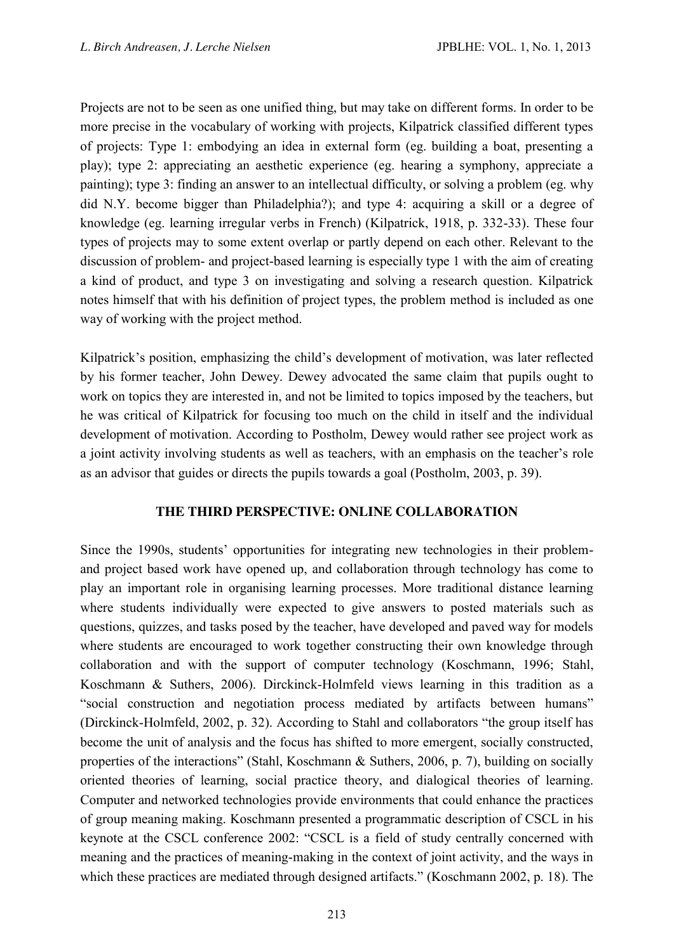Projects are not to be seen as one unified thing, but may take on different forms. In order to be more precise in the vocabulary of working with projects, Kilpatrick classified different types of projects: Type 1: embodying an idea in external form (eg. building a boat, presenting a play); type 2: appreciating an aesthetic experience (eg. hearing a symphony, appreciate a painting); type 3: finding an answer to an intellectual difficulty, or solving a problem (eg. why did N.Y. become bigger than Philadelphia?); and type 4: acquiring a skill or a degree of knowledge (eg. learning irregular verbs in French) (Kilpatrick, 1918, p. 332-33). These four types of projects may to some extent overlap or partly depend on each other. Relevant to the discussion of problem- and project-based learning is especially type 1 with the aim of creating a kind of product, and type 3 on investigating and solving a research question. Kilpatrick notes himself that with his definition of project types, the problem method is included as one way of working with the project method.

Kilpatrick's position, emphasizing the child's development of motivation, was later reflected by his former teacher, John Dewey. Dewey advocated the same claim that pupils ought to work on topics they are interested in, and not be limited to topics imposed by the teachers, but he was critical of Kilpatrick for focusing too much on the child in itself and the individual development of motivation. According to Postholm, Dewey would rather see project work as a joint activity involving students as well as teachers, with an emphasis on the teacher's role as an advisor that guides or directs the pupils towards a goal (Postholm, 2003, p. 39).

#### **THE THIRD PERSPECTIVE: ONLINE COLLABORATION**

Since the 1990s, students' opportunities for integrating new technologies in their problemand project based work have opened up, and collaboration through technology has come to play an important role in organising learning processes. More traditional distance learning where students individually were expected to give answers to posted materials such as questions, quizzes, and tasks posed by the teacher, have developed and paved way for models where students are encouraged to work together constructing their own knowledge through collaboration and with the support of computer technology (Koschmann, 1996; Stahl, Koschmann & Suthers, 2006). Dirckinck-Holmfeld views learning in this tradition as a "social construction and negotiation process mediated by artifacts between humans" (Dirckinck-Holmfeld, 2002, p. 32). According to Stahl and collaborators "the group itself has become the unit of analysis and the focus has shifted to more emergent, socially constructed, properties of the interactions" (Stahl, Koschmann & Suthers, 2006, p. 7), building on socially oriented theories of learning, social practice theory, and dialogical theories of learning. Computer and networked technologies provide environments that could enhance the practices of group meaning making. Koschmann presented a programmatic description of CSCL in his keynote at the CSCL conference 2002: "CSCL is a field of study centrally concerned with meaning and the practices of meaning-making in the context of joint activity, and the ways in which these practices are mediated through designed artifacts." (Koschmann 2002, p. 18). The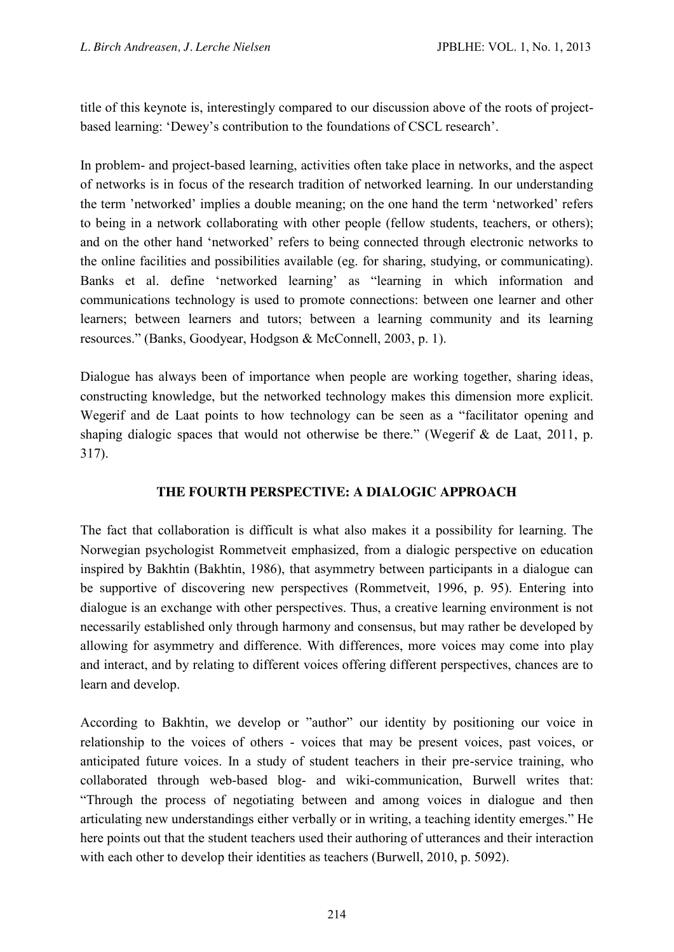title of this keynote is, interestingly compared to our discussion above of the roots of projectbased learning: 'Dewey's contribution to the foundations of CSCL research'.

In problem- and project-based learning, activities often take place in networks, and the aspect of networks is in focus of the research tradition of networked learning. In our understanding the term 'networked' implies a double meaning; on the one hand the term 'networked' refers to being in a network collaborating with other people (fellow students, teachers, or others); and on the other hand 'networked' refers to being connected through electronic networks to the online facilities and possibilities available (eg. for sharing, studying, or communicating). Banks et al. define 'networked learning' as "learning in which information and communications technology is used to promote connections: between one learner and other learners; between learners and tutors; between a learning community and its learning resources." (Banks, Goodyear, Hodgson & McConnell, 2003, p. 1).

Dialogue has always been of importance when people are working together, sharing ideas, constructing knowledge, but the networked technology makes this dimension more explicit. Wegerif and de Laat points to how technology can be seen as a "facilitator opening and shaping dialogic spaces that would not otherwise be there." (Wegerif & de Laat, 2011, p. 317).

# **THE FOURTH PERSPECTIVE: A DIALOGIC APPROACH**

The fact that collaboration is difficult is what also makes it a possibility for learning. The Norwegian psychologist Rommetveit emphasized, from a dialogic perspective on education inspired by Bakhtin (Bakhtin, 1986), that asymmetry between participants in a dialogue can be supportive of discovering new perspectives (Rommetveit, 1996, p. 95). Entering into dialogue is an exchange with other perspectives. Thus, a creative learning environment is not necessarily established only through harmony and consensus, but may rather be developed by allowing for asymmetry and difference. With differences, more voices may come into play and interact, and by relating to different voices offering different perspectives, chances are to learn and develop.

According to Bakhtin, we develop or "author" our identity by positioning our voice in relationship to the voices of others - voices that may be present voices, past voices, or anticipated future voices. In a study of student teachers in their pre-service training, who collaborated through web-based blog- and wiki-communication, Burwell writes that: "Through the process of negotiating between and among voices in dialogue and then articulating new understandings either verbally or in writing, a teaching identity emerges." He here points out that the student teachers used their authoring of utterances and their interaction with each other to develop their identities as teachers (Burwell, 2010, p. 5092).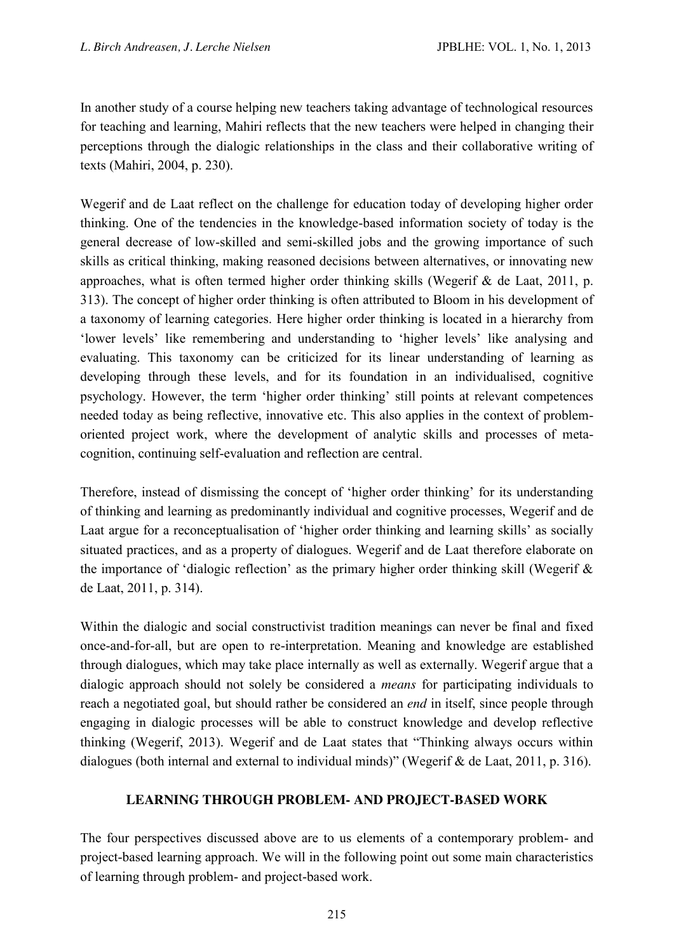In another study of a course helping new teachers taking advantage of technological resources for teaching and learning, Mahiri reflects that the new teachers were helped in changing their perceptions through the dialogic relationships in the class and their collaborative writing of texts (Mahiri, 2004, p. 230).

Wegerif and de Laat reflect on the challenge for education today of developing higher order thinking. One of the tendencies in the knowledge-based information society of today is the general decrease of low-skilled and semi-skilled jobs and the growing importance of such skills as critical thinking, making reasoned decisions between alternatives, or innovating new approaches, what is often termed higher order thinking skills (Wegerif  $\&$  de Laat, 2011, p. 313). The concept of higher order thinking is often attributed to Bloom in his development of a taxonomy of learning categories. Here higher order thinking is located in a hierarchy from 'lower levels' like remembering and understanding to 'higher levels' like analysing and evaluating. This taxonomy can be criticized for its linear understanding of learning as developing through these levels, and for its foundation in an individualised, cognitive psychology. However, the term 'higher order thinking' still points at relevant competences needed today as being reflective, innovative etc. This also applies in the context of problemoriented project work, where the development of analytic skills and processes of metacognition, continuing self-evaluation and reflection are central.

Therefore, instead of dismissing the concept of 'higher order thinking' for its understanding of thinking and learning as predominantly individual and cognitive processes, Wegerif and de Laat argue for a reconceptualisation of 'higher order thinking and learning skills' as socially situated practices, and as a property of dialogues. Wegerif and de Laat therefore elaborate on the importance of 'dialogic reflection' as the primary higher order thinking skill (Wegerif  $\&$ de Laat, 2011, p. 314).

Within the dialogic and social constructivist tradition meanings can never be final and fixed once-and-for-all, but are open to re-interpretation. Meaning and knowledge are established through dialogues, which may take place internally as well as externally. Wegerif argue that a dialogic approach should not solely be considered a *means* for participating individuals to reach a negotiated goal, but should rather be considered an *end* in itself, since people through engaging in dialogic processes will be able to construct knowledge and develop reflective thinking (Wegerif, 2013). Wegerif and de Laat states that "Thinking always occurs within dialogues (both internal and external to individual minds)" (Wegerif & de Laat, 2011, p. 316).

# **LEARNING THROUGH PROBLEM- AND PROJECT-BASED WORK**

The four perspectives discussed above are to us elements of a contemporary problem- and project-based learning approach. We will in the following point out some main characteristics of learning through problem- and project-based work.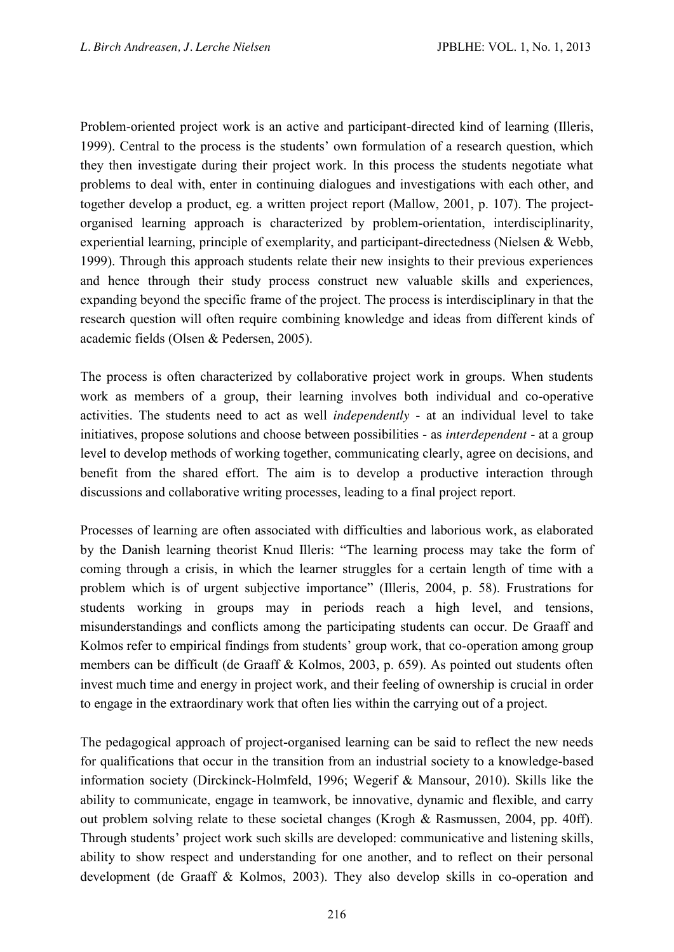Problem-oriented project work is an active and participant-directed kind of learning (Illeris, 1999). Central to the process is the students' own formulation of a research question, which they then investigate during their project work. In this process the students negotiate what problems to deal with, enter in continuing dialogues and investigations with each other, and together develop a product, eg. a written project report (Mallow, 2001, p. 107). The projectorganised learning approach is characterized by problem-orientation, interdisciplinarity, experiential learning, principle of exemplarity, and participant-directedness (Nielsen & Webb, 1999). Through this approach students relate their new insights to their previous experiences and hence through their study process construct new valuable skills and experiences, expanding beyond the specific frame of the project. The process is interdisciplinary in that the research question will often require combining knowledge and ideas from different kinds of academic fields (Olsen & Pedersen, 2005).

The process is often characterized by collaborative project work in groups. When students work as members of a group, their learning involves both individual and co-operative activities. The students need to act as well *independently* - at an individual level to take initiatives, propose solutions and choose between possibilities - as *interdependent* - at a group level to develop methods of working together, communicating clearly, agree on decisions, and benefit from the shared effort. The aim is to develop a productive interaction through discussions and collaborative writing processes, leading to a final project report.

Processes of learning are often associated with difficulties and laborious work, as elaborated by the Danish learning theorist Knud Illeris: "The learning process may take the form of coming through a crisis, in which the learner struggles for a certain length of time with a problem which is of urgent subjective importance" (Illeris, 2004, p. 58). Frustrations for students working in groups may in periods reach a high level, and tensions, misunderstandings and conflicts among the participating students can occur. De Graaff and Kolmos refer to empirical findings from students' group work, that co-operation among group members can be difficult (de Graaff & Kolmos, 2003, p. 659). As pointed out students often invest much time and energy in project work, and their feeling of ownership is crucial in order to engage in the extraordinary work that often lies within the carrying out of a project.

The pedagogical approach of project-organised learning can be said to reflect the new needs for qualifications that occur in the transition from an industrial society to a knowledge-based information society (Dirckinck-Holmfeld, 1996; Wegerif & Mansour, 2010). Skills like the ability to communicate, engage in teamwork, be innovative, dynamic and flexible, and carry out problem solving relate to these societal changes (Krogh & Rasmussen, 2004, pp. 40ff). Through students' project work such skills are developed: communicative and listening skills, ability to show respect and understanding for one another, and to reflect on their personal development (de Graaff & Kolmos, 2003). They also develop skills in co-operation and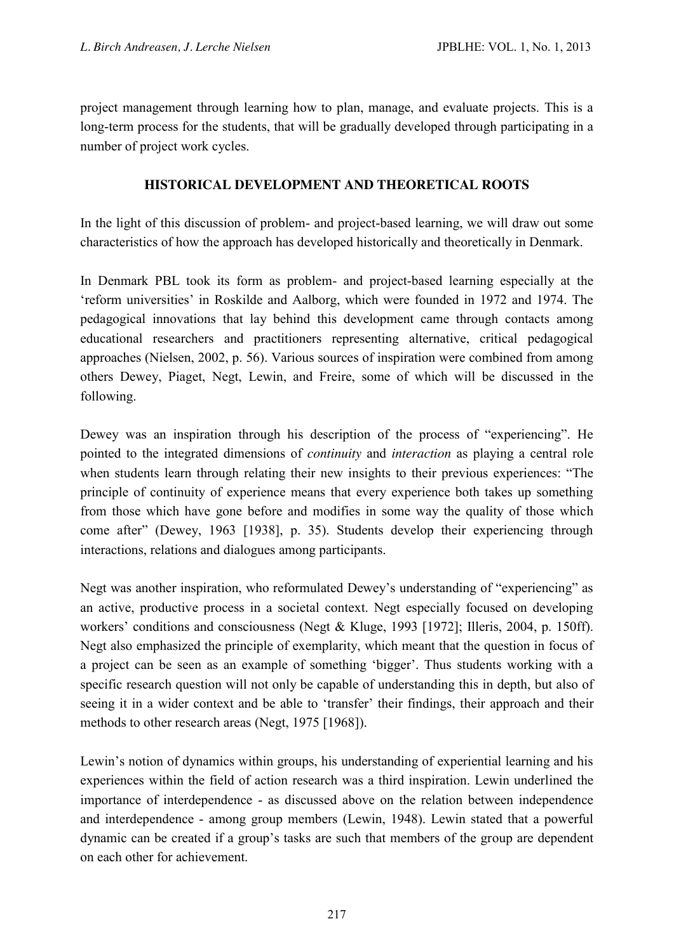project management through learning how to plan, manage, and evaluate projects. This is a long-term process for the students, that will be gradually developed through participating in a number of project work cycles.

# **HISTORICAL DEVELOPMENT AND THEORETICAL ROOTS**

In the light of this discussion of problem- and project-based learning, we will draw out some characteristics of how the approach has developed historically and theoretically in Denmark.

In Denmark PBL took its form as problem- and project-based learning especially at the 'reform universities' in Roskilde and Aalborg, which were founded in 1972 and 1974. The pedagogical innovations that lay behind this development came through contacts among educational researchers and practitioners representing alternative, critical pedagogical approaches (Nielsen, 2002, p. 56). Various sources of inspiration were combined from among others Dewey, Piaget, Negt, Lewin, and Freire, some of which will be discussed in the following.

Dewey was an inspiration through his description of the process of "experiencing". He pointed to the integrated dimensions of *continuity* and *interaction* as playing a central role when students learn through relating their new insights to their previous experiences: "The principle of continuity of experience means that every experience both takes up something from those which have gone before and modifies in some way the quality of those which come after" (Dewey, 1963 [1938], p. 35). Students develop their experiencing through interactions, relations and dialogues among participants.

Negt was another inspiration, who reformulated Dewey's understanding of "experiencing" as an active, productive process in a societal context. Negt especially focused on developing workers' conditions and consciousness (Negt & Kluge, 1993 [1972]; Illeris, 2004, p. 150ff). Negt also emphasized the principle of exemplarity, which meant that the question in focus of a project can be seen as an example of something 'bigger'. Thus students working with a specific research question will not only be capable of understanding this in depth, but also of seeing it in a wider context and be able to 'transfer' their findings, their approach and their methods to other research areas (Negt, 1975 [1968]).

Lewin's notion of dynamics within groups, his understanding of experiential learning and his experiences within the field of action research was a third inspiration. Lewin underlined the importance of interdependence - as discussed above on the relation between independence and interdependence - among group members (Lewin, 1948). Lewin stated that a powerful dynamic can be created if a group's tasks are such that members of the group are dependent on each other for achievement.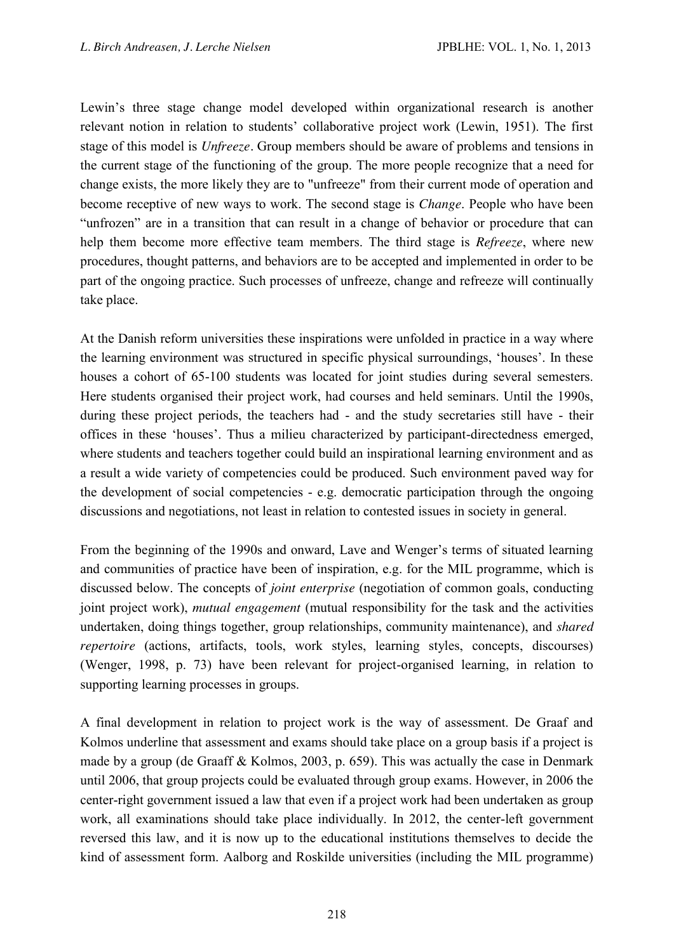Lewin's three stage change model developed within organizational research is another relevant notion in relation to students' collaborative project work (Lewin, 1951). The first stage of this model is *Unfreeze.* Group members should be aware of problems and tensions in the current stage of the functioning of the group. The more people recognize that a need for change exists, the more likely they are to "unfreeze" from their current mode of operation and become receptive of new ways to work. The second stage is *Change*. People who have been "unfrozen" are in a transition that can result in a change of behavior or procedure that can help them become more effective team members. The third stage is *Refreeze*, where new procedures, thought patterns, and behaviors are to be accepted and implemented in order to be part of the ongoing practice. Such processes of unfreeze, change and refreeze will continually take place.

At the Danish reform universities these inspirations were unfolded in practice in a way where the learning environment was structured in specific physical surroundings, 'houses'. In these houses a cohort of 65-100 students was located for joint studies during several semesters. Here students organised their project work, had courses and held seminars. Until the 1990s, during these project periods, the teachers had - and the study secretaries still have - their offices in these 'houses'. Thus a milieu characterized by participant-directedness emerged, where students and teachers together could build an inspirational learning environment and as a result a wide variety of competencies could be produced. Such environment paved way for the development of social competencies - e.g. democratic participation through the ongoing discussions and negotiations, not least in relation to contested issues in society in general.

From the beginning of the 1990s and onward, Lave and Wenger's terms of situated learning and communities of practice have been of inspiration, e.g. for the MIL programme, which is discussed below. The concepts of *joint enterprise* (negotiation of common goals, conducting joint project work), *mutual engagement* (mutual responsibility for the task and the activities undertaken, doing things together, group relationships, community maintenance), and *shared repertoire* (actions, artifacts, tools, work styles, learning styles, concepts, discourses) (Wenger, 1998, p. 73) have been relevant for project-organised learning, in relation to supporting learning processes in groups.

A final development in relation to project work is the way of assessment. De Graaf and Kolmos underline that assessment and exams should take place on a group basis if a project is made by a group (de Graaff & Kolmos, 2003, p. 659). This was actually the case in Denmark until 2006, that group projects could be evaluated through group exams. However, in 2006 the center-right government issued a law that even if a project work had been undertaken as group work, all examinations should take place individually. In 2012, the center-left government reversed this law, and it is now up to the educational institutions themselves to decide the kind of assessment form. Aalborg and Roskilde universities (including the MIL programme)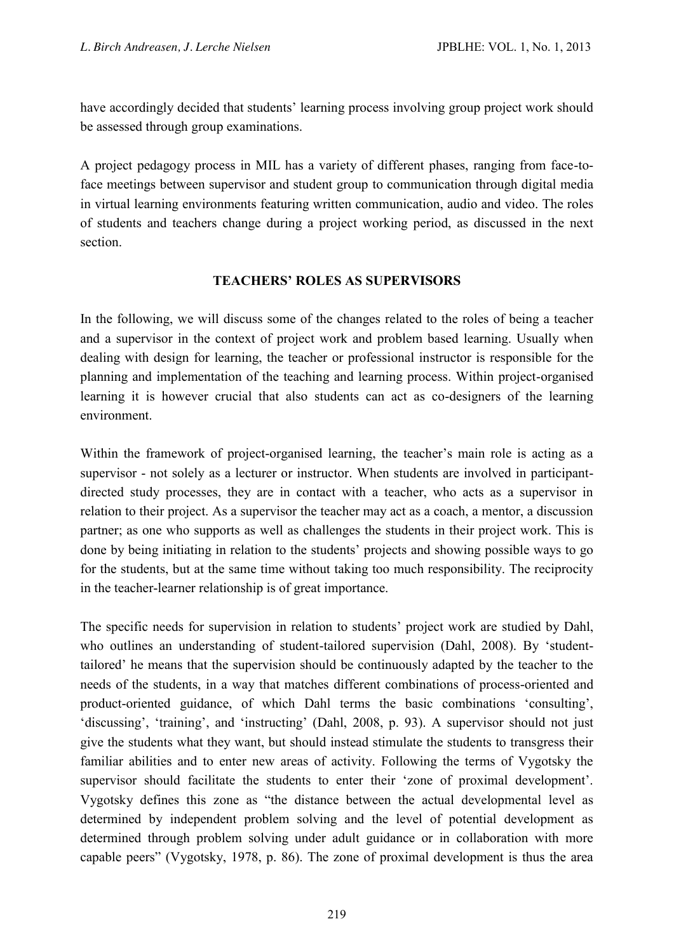have accordingly decided that students' learning process involving group project work should be assessed through group examinations.

A project pedagogy process in MIL has a variety of different phases, ranging from face-toface meetings between supervisor and student group to communication through digital media in virtual learning environments featuring written communication, audio and video. The roles of students and teachers change during a project working period, as discussed in the next section.

# **TEACHERS' ROLES AS SUPERVISORS**

In the following, we will discuss some of the changes related to the roles of being a teacher and a supervisor in the context of project work and problem based learning. Usually when dealing with design for learning, the teacher or professional instructor is responsible for the planning and implementation of the teaching and learning process. Within project-organised learning it is however crucial that also students can act as co-designers of the learning environment.

Within the framework of project-organised learning, the teacher's main role is acting as a supervisor - not solely as a lecturer or instructor. When students are involved in participantdirected study processes, they are in contact with a teacher, who acts as a supervisor in relation to their project. As a supervisor the teacher may act as a coach, a mentor, a discussion partner; as one who supports as well as challenges the students in their project work. This is done by being initiating in relation to the students' projects and showing possible ways to go for the students, but at the same time without taking too much responsibility. The reciprocity in the teacher-learner relationship is of great importance.

The specific needs for supervision in relation to students' project work are studied by Dahl, who outlines an understanding of student-tailored supervision (Dahl, 2008). By 'studenttailored' he means that the supervision should be continuously adapted by the teacher to the needs of the students, in a way that matches different combinations of process-oriented and product-oriented guidance, of which Dahl terms the basic combinations 'consulting', 'discussing', 'training', and 'instructing' (Dahl, 2008, p. 93). A supervisor should not just give the students what they want, but should instead stimulate the students to transgress their familiar abilities and to enter new areas of activity. Following the terms of Vygotsky the supervisor should facilitate the students to enter their 'zone of proximal development'. Vygotsky defines this zone as "the distance between the actual developmental level as determined by independent problem solving and the level of potential development as determined through problem solving under adult guidance or in collaboration with more capable peers" (Vygotsky, 1978, p. 86). The zone of proximal development is thus the area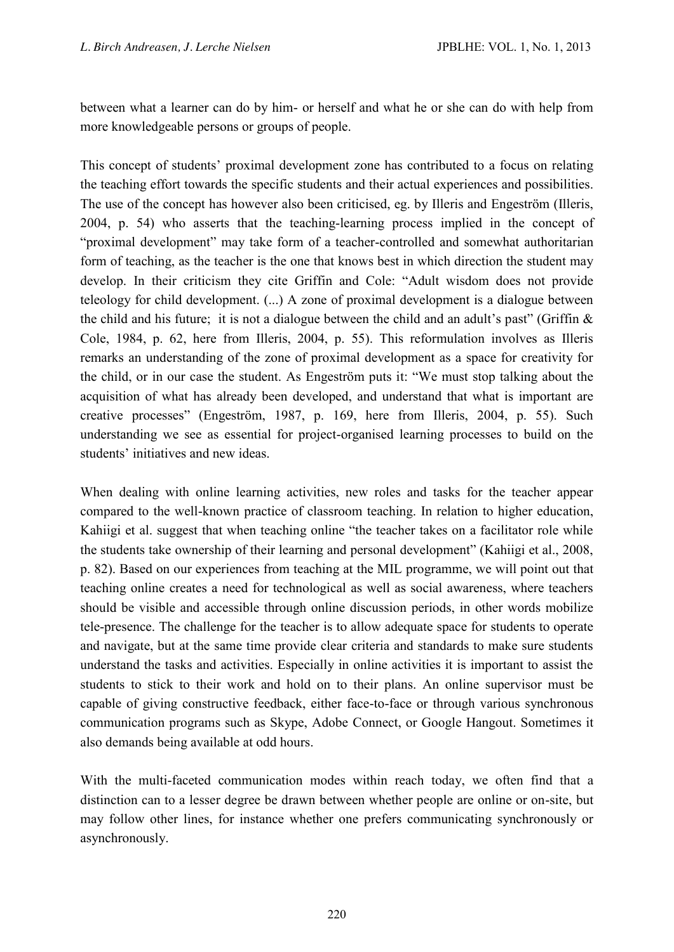between what a learner can do by him- or herself and what he or she can do with help from more knowledgeable persons or groups of people.

This concept of students' proximal development zone has contributed to a focus on relating the teaching effort towards the specific students and their actual experiences and possibilities. The use of the concept has however also been criticised, eg. by Illeris and Engeström (Illeris, 2004, p. 54) who asserts that the teaching-learning process implied in the concept of "proximal development" may take form of a teacher-controlled and somewhat authoritarian form of teaching, as the teacher is the one that knows best in which direction the student may develop. In their criticism they cite Griffin and Cole: "Adult wisdom does not provide teleology for child development. (...) A zone of proximal development is a dialogue between the child and his future; it is not a dialogue between the child and an adult's past" (Griffin & Cole, 1984, p. 62, here from Illeris, 2004, p. 55). This reformulation involves as Illeris remarks an understanding of the zone of proximal development as a space for creativity for the child, or in our case the student. As Engeström puts it: "We must stop talking about the acquisition of what has already been developed, and understand that what is important are creative processes" (Engeström, 1987, p. 169, here from Illeris, 2004, p. 55). Such understanding we see as essential for project-organised learning processes to build on the students' initiatives and new ideas.

When dealing with online learning activities, new roles and tasks for the teacher appear compared to the well-known practice of classroom teaching. In relation to higher education, Kahiigi et al. suggest that when teaching online "the teacher takes on a facilitator role while the students take ownership of their learning and personal development" (Kahiigi et al., 2008, p. 82). Based on our experiences from teaching at the MIL programme, we will point out that teaching online creates a need for technological as well as social awareness, where teachers should be visible and accessible through online discussion periods, in other words mobilize tele-presence. The challenge for the teacher is to allow adequate space for students to operate and navigate, but at the same time provide clear criteria and standards to make sure students understand the tasks and activities. Especially in online activities it is important to assist the students to stick to their work and hold on to their plans. An online supervisor must be capable of giving constructive feedback, either face-to-face or through various synchronous communication programs such as Skype, Adobe Connect, or Google Hangout. Sometimes it also demands being available at odd hours.

With the multi-faceted communication modes within reach today, we often find that a distinction can to a lesser degree be drawn between whether people are online or on-site, but may follow other lines, for instance whether one prefers communicating synchronously or asynchronously.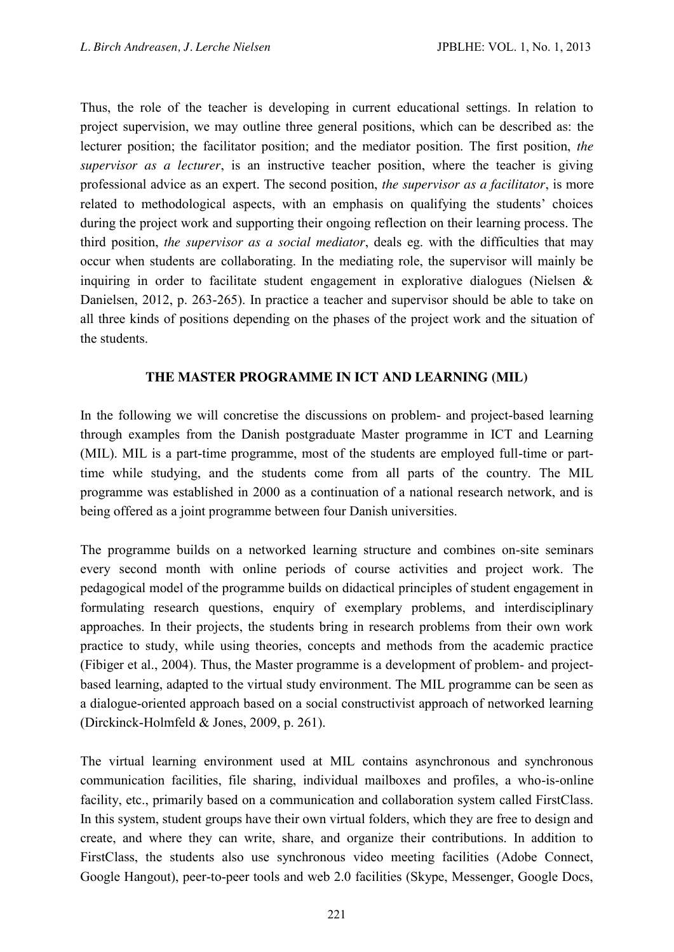Thus, the role of the teacher is developing in current educational settings. In relation to project supervision, we may outline three general positions, which can be described as: the lecturer position; the facilitator position; and the mediator position. The first position, *the supervisor as a lecturer*, is an instructive teacher position, where the teacher is giving professional advice as an expert. The second position, *the supervisor as a facilitator*, is more related to methodological aspects, with an emphasis on qualifying the students' choices during the project work and supporting their ongoing reflection on their learning process. The third position, *the supervisor as a social mediator*, deals eg. with the difficulties that may occur when students are collaborating. In the mediating role, the supervisor will mainly be inquiring in order to facilitate student engagement in explorative dialogues (Nielsen & Danielsen, 2012, p. 263-265). In practice a teacher and supervisor should be able to take on all three kinds of positions depending on the phases of the project work and the situation of the students.

# **THE MASTER PROGRAMME IN ICT AND LEARNING (MIL)**

In the following we will concretise the discussions on problem- and project-based learning through examples from the Danish postgraduate Master programme in ICT and Learning (MIL). MIL is a part-time programme, most of the students are employed full-time or parttime while studying, and the students come from all parts of the country. The MIL programme was established in 2000 as a continuation of a national research network, and is being offered as a joint programme between four Danish universities.

The programme builds on a networked learning structure and combines on-site seminars every second month with online periods of course activities and project work. The pedagogical model of the programme builds on didactical principles of student engagement in formulating research questions, enquiry of exemplary problems, and interdisciplinary approaches. In their projects, the students bring in research problems from their own work practice to study, while using theories, concepts and methods from the academic practice (Fibiger et al., 2004). Thus, the Master programme is a development of problem- and projectbased learning, adapted to the virtual study environment. The MIL programme can be seen as a dialogue-oriented approach based on a social constructivist approach of networked learning (Dirckinck-Holmfeld & Jones, 2009, p. 261).

The virtual learning environment used at MIL contains asynchronous and synchronous communication facilities, file sharing, individual mailboxes and profiles, a who-is-online facility, etc., primarily based on a communication and collaboration system called FirstClass. In this system, student groups have their own virtual folders, which they are free to design and create, and where they can write, share, and organize their contributions. In addition to FirstClass, the students also use synchronous video meeting facilities (Adobe Connect, Google Hangout), peer-to-peer tools and web 2.0 facilities (Skype, Messenger, Google Docs,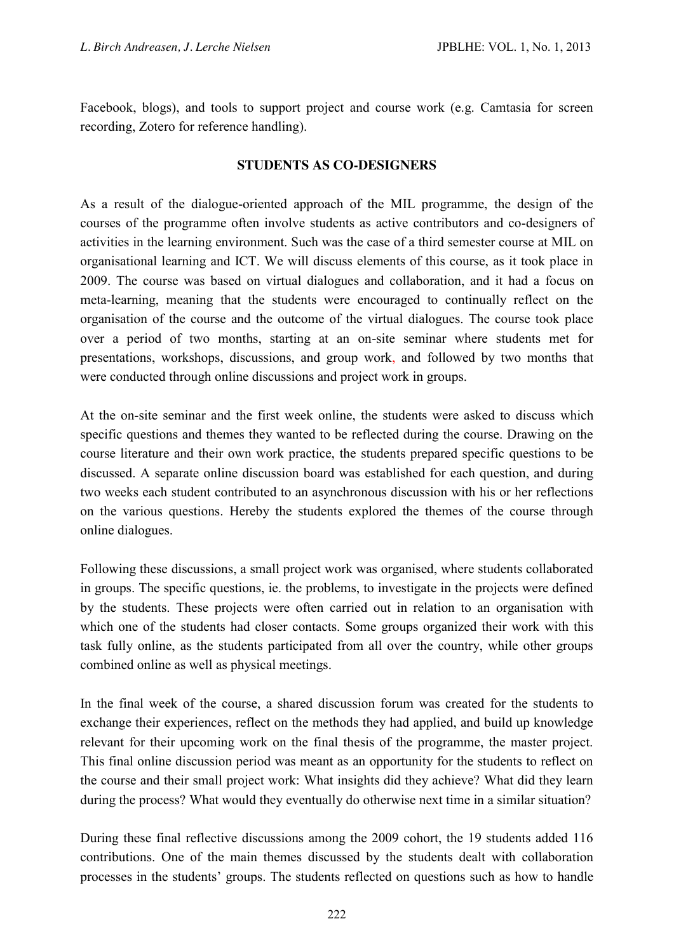Facebook, blogs), and tools to support project and course work (e.g. Camtasia for screen recording, Zotero for reference handling).

### **STUDENTS AS CO-DESIGNERS**

As a result of the dialogue-oriented approach of the MIL programme, the design of the courses of the programme often involve students as active contributors and co-designers of activities in the learning environment. Such was the case of a third semester course at MIL on organisational learning and ICT. We will discuss elements of this course, as it took place in 2009. The course was based on virtual dialogues and collaboration, and it had a focus on meta-learning, meaning that the students were encouraged to continually reflect on the organisation of the course and the outcome of the virtual dialogues. The course took place over a period of two months, starting at an on-site seminar where students met for presentations, workshops, discussions, and group work, and followed by two months that were conducted through online discussions and project work in groups.

At the on-site seminar and the first week online, the students were asked to discuss which specific questions and themes they wanted to be reflected during the course. Drawing on the course literature and their own work practice, the students prepared specific questions to be discussed. A separate online discussion board was established for each question, and during two weeks each student contributed to an asynchronous discussion with his or her reflections on the various questions. Hereby the students explored the themes of the course through online dialogues.

Following these discussions, a small project work was organised, where students collaborated in groups. The specific questions, ie. the problems, to investigate in the projects were defined by the students. These projects were often carried out in relation to an organisation with which one of the students had closer contacts. Some groups organized their work with this task fully online, as the students participated from all over the country, while other groups combined online as well as physical meetings.

In the final week of the course, a shared discussion forum was created for the students to exchange their experiences, reflect on the methods they had applied, and build up knowledge relevant for their upcoming work on the final thesis of the programme, the master project. This final online discussion period was meant as an opportunity for the students to reflect on the course and their small project work: What insights did they achieve? What did they learn during the process? What would they eventually do otherwise next time in a similar situation?

During these final reflective discussions among the 2009 cohort, the 19 students added 116 contributions. One of the main themes discussed by the students dealt with collaboration processes in the students' groups. The students reflected on questions such as how to handle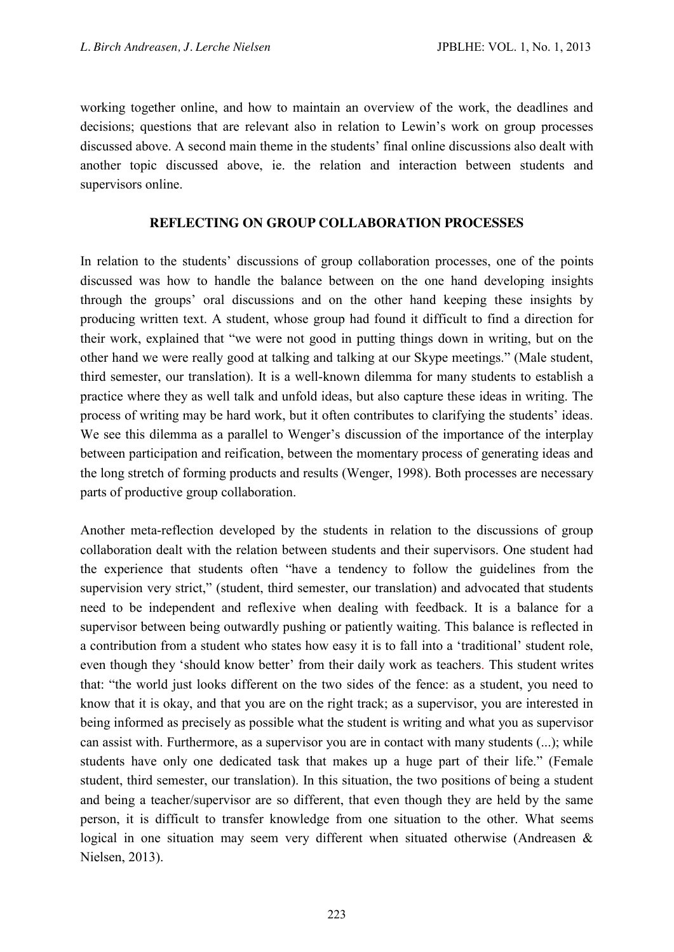working together online, and how to maintain an overview of the work, the deadlines and decisions; questions that are relevant also in relation to Lewin's work on group processes discussed above. A second main theme in the students' final online discussions also dealt with another topic discussed above, ie. the relation and interaction between students and supervisors online.

# **REFLECTING ON GROUP COLLABORATION PROCESSES**

In relation to the students' discussions of group collaboration processes, one of the points discussed was how to handle the balance between on the one hand developing insights through the groups' oral discussions and on the other hand keeping these insights by producing written text. A student, whose group had found it difficult to find a direction for their work, explained that "we were not good in putting things down in writing, but on the other hand we were really good at talking and talking at our Skype meetings." (Male student, third semester, our translation). It is a well-known dilemma for many students to establish a practice where they as well talk and unfold ideas, but also capture these ideas in writing. The process of writing may be hard work, but it often contributes to clarifying the students' ideas. We see this dilemma as a parallel to Wenger's discussion of the importance of the interplay between participation and reification, between the momentary process of generating ideas and the long stretch of forming products and results (Wenger, 1998). Both processes are necessary parts of productive group collaboration.

Another meta-reflection developed by the students in relation to the discussions of group collaboration dealt with the relation between students and their supervisors. One student had the experience that students often "have a tendency to follow the guidelines from the supervision very strict," (student, third semester, our translation) and advocated that students need to be independent and reflexive when dealing with feedback. It is a balance for a supervisor between being outwardly pushing or patiently waiting. This balance is reflected in a contribution from a student who states how easy it is to fall into a 'traditional' student role, even though they 'should know better' from their daily work as teachers. This student writes that: "the world just looks different on the two sides of the fence: as a student, you need to know that it is okay, and that you are on the right track; as a supervisor, you are interested in being informed as precisely as possible what the student is writing and what you as supervisor can assist with. Furthermore, as a supervisor you are in contact with many students (...); while students have only one dedicated task that makes up a huge part of their life." (Female student, third semester, our translation). In this situation, the two positions of being a student and being a teacher/supervisor are so different, that even though they are held by the same person, it is difficult to transfer knowledge from one situation to the other. What seems logical in one situation may seem very different when situated otherwise (Andreasen & Nielsen, 2013).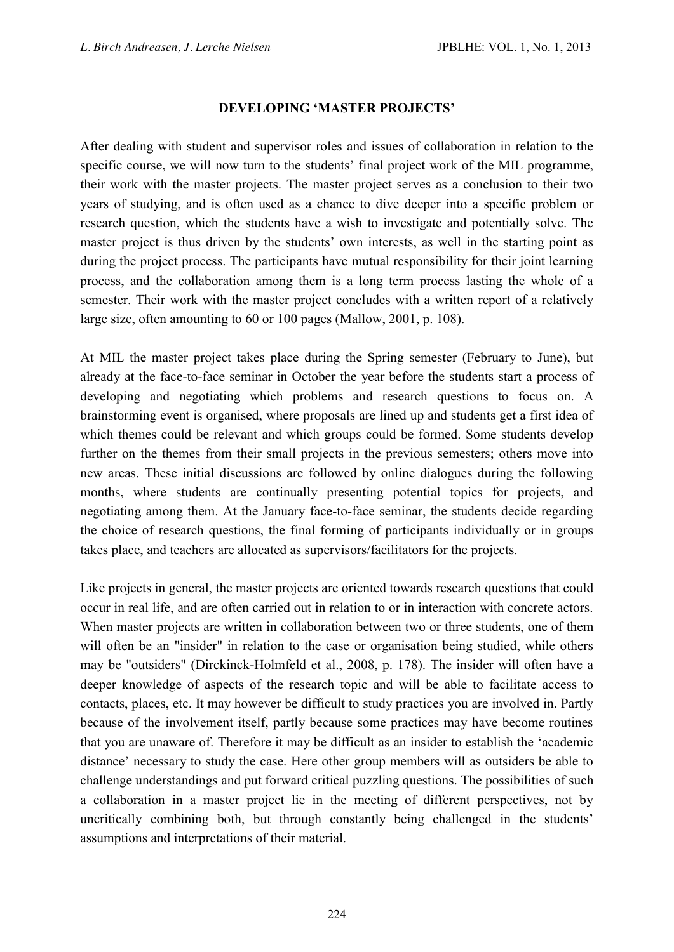### **DEVELOPING 'MASTER PROJECTS'**

After dealing with student and supervisor roles and issues of collaboration in relation to the specific course, we will now turn to the students' final project work of the MIL programme, their work with the master projects. The master project serves as a conclusion to their two years of studying, and is often used as a chance to dive deeper into a specific problem or research question, which the students have a wish to investigate and potentially solve. The master project is thus driven by the students' own interests, as well in the starting point as during the project process. The participants have mutual responsibility for their joint learning process, and the collaboration among them is a long term process lasting the whole of a semester. Their work with the master project concludes with a written report of a relatively large size, often amounting to 60 or 100 pages (Mallow, 2001, p. 108).

At MIL the master project takes place during the Spring semester (February to June), but already at the face-to-face seminar in October the year before the students start a process of developing and negotiating which problems and research questions to focus on. A brainstorming event is organised, where proposals are lined up and students get a first idea of which themes could be relevant and which groups could be formed. Some students develop further on the themes from their small projects in the previous semesters; others move into new areas. These initial discussions are followed by online dialogues during the following months, where students are continually presenting potential topics for projects, and negotiating among them. At the January face-to-face seminar, the students decide regarding the choice of research questions, the final forming of participants individually or in groups takes place, and teachers are allocated as supervisors/facilitators for the projects.

Like projects in general, the master projects are oriented towards research questions that could occur in real life, and are often carried out in relation to or in interaction with concrete actors. When master projects are written in collaboration between two or three students, one of them will often be an "insider" in relation to the case or organisation being studied, while others may be "outsiders" (Dirckinck-Holmfeld et al., 2008, p. 178). The insider will often have a deeper knowledge of aspects of the research topic and will be able to facilitate access to contacts, places, etc. It may however be difficult to study practices you are involved in. Partly because of the involvement itself, partly because some practices may have become routines that you are unaware of. Therefore it may be difficult as an insider to establish the 'academic distance' necessary to study the case. Here other group members will as outsiders be able to challenge understandings and put forward critical puzzling questions. The possibilities of such a collaboration in a master project lie in the meeting of different perspectives, not by uncritically combining both, but through constantly being challenged in the students' assumptions and interpretations of their material.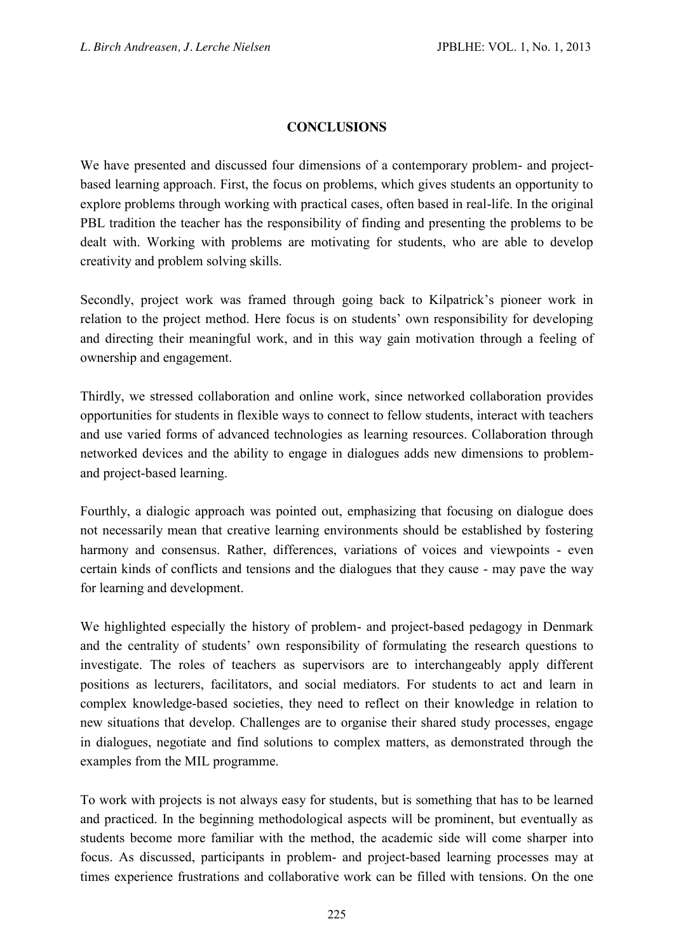# **CONCLUSIONS**

We have presented and discussed four dimensions of a contemporary problem- and projectbased learning approach. First, the focus on problems, which gives students an opportunity to explore problems through working with practical cases, often based in real-life. In the original PBL tradition the teacher has the responsibility of finding and presenting the problems to be dealt with. Working with problems are motivating for students, who are able to develop creativity and problem solving skills.

Secondly, project work was framed through going back to Kilpatrick's pioneer work in relation to the project method. Here focus is on students' own responsibility for developing and directing their meaningful work, and in this way gain motivation through a feeling of ownership and engagement.

Thirdly, we stressed collaboration and online work, since networked collaboration provides opportunities for students in flexible ways to connect to fellow students, interact with teachers and use varied forms of advanced technologies as learning resources. Collaboration through networked devices and the ability to engage in dialogues adds new dimensions to problemand project-based learning.

Fourthly, a dialogic approach was pointed out, emphasizing that focusing on dialogue does not necessarily mean that creative learning environments should be established by fostering harmony and consensus. Rather, differences, variations of voices and viewpoints - even certain kinds of conflicts and tensions and the dialogues that they cause - may pave the way for learning and development.

We highlighted especially the history of problem- and project-based pedagogy in Denmark and the centrality of students' own responsibility of formulating the research questions to investigate. The roles of teachers as supervisors are to interchangeably apply different positions as lecturers, facilitators, and social mediators. For students to act and learn in complex knowledge-based societies, they need to reflect on their knowledge in relation to new situations that develop. Challenges are to organise their shared study processes, engage in dialogues, negotiate and find solutions to complex matters, as demonstrated through the examples from the MIL programme.

To work with projects is not always easy for students, but is something that has to be learned and practiced. In the beginning methodological aspects will be prominent, but eventually as students become more familiar with the method, the academic side will come sharper into focus. As discussed, participants in problem- and project-based learning processes may at times experience frustrations and collaborative work can be filled with tensions. On the one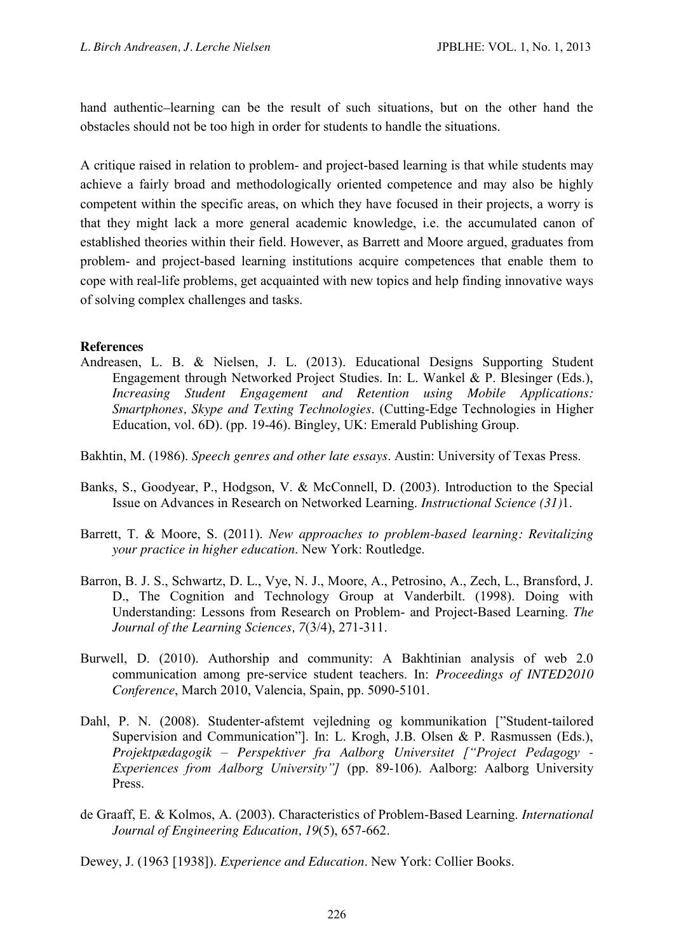hand authentic-learning can be the result of such situations, but on the other hand the obstacles should not be too high in order for students to handle the situations.

A critique raised in relation to problem- and project-based learning is that while students may achieve a fairly broad and methodologically oriented competence and may also be highly competent within the specific areas, on which they have focused in their projects, a worry is that they might lack a more general academic knowledge, i.e. the accumulated canon of established theories within their field. However, as Barrett and Moore argued, graduates from problem- and project-based learning institutions acquire competences that enable them to cope with real-life problems, get acquainted with new topics and help finding innovative ways of solving complex challenges and tasks.

#### **References**

- Andreasen, L. B. & Nielsen, J. L. (2013). Educational Designs Supporting Student Engagement through Networked Project Studies. In: L. Wankel & P. Blesinger (Eds.), *Increasing Student Engagement and Retention using Mobile Applications: Smartphones, Skype and Texting Technologies*. (Cutting-Edge Technologies in Higher Education, vol. 6D). (pp. 19-46). Bingley, UK: Emerald Publishing Group.
- Bakhtin, M. (1986). *Speech genres and other late essays*. Austin: University of Texas Press.
- Banks, S., Goodyear, P., Hodgson, V. & McConnell, D. (2003). Introduction to the Special Issue on Advances in Research on Networked Learning. *Instructional Science (31)*1.
- Barrett, T. & Moore, S. (2011). *New approaches to problem-based learning: Revitalizing your practice in higher education*. New York: Routledge.
- Barron, B. J. S., Schwartz, D. L., Vye, N. J., Moore, A., Petrosino, A., Zech, L., Bransford, J. D., The Cognition and Technology Group at Vanderbilt. (1998). Doing with Understanding: Lessons from Research on Problem- and Project-Based Learning. *The Journal of the Learning Sciences, 7*(3/4), 271-311.
- Burwell, D. (2010). Authorship and community: A Bakhtinian analysis of web 2.0 communication among pre-service student teachers. In: *Proceedings of INTED2010 Conference*, March 2010, Valencia, Spain, pp. 5090-5101.
- Dahl, P. N. (2008). Studenter-afstemt vejledning og kommunikation ["Student-tailored Supervision and Communication"]. In: L. Krogh, J.B. Olsen & P. Rasmussen (Eds.), *Projektpædagogik – Perspektiver fra Aalborg Universitet ["Project Pedagogy - Experiences from Aalborg University"]* (pp. 89-106). Aalborg: Aalborg University Press.
- de Graaff, E. & Kolmos, A. (2003). Characteristics of Problem-Based Learning. *International Journal of Engineering Education, 19*(5), 657-662.

Dewey, J. (1963 [1938]). *Experience and Education*. New York: Collier Books.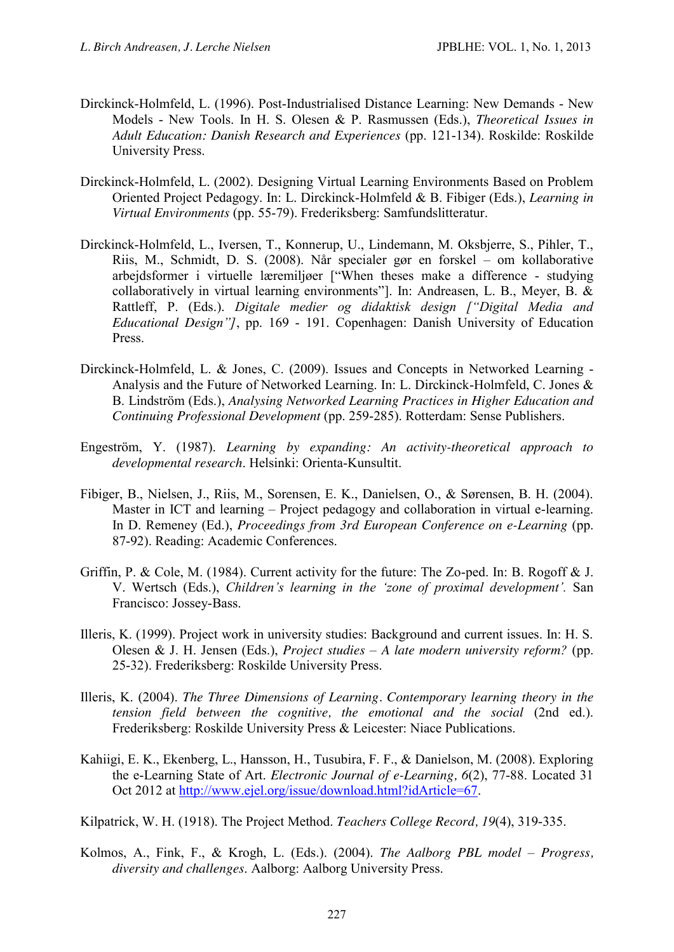- Dirckinck-Holmfeld, L. (1996). Post-Industrialised Distance Learning: New Demands New Models - New Tools. In H. S. Olesen & P. Rasmussen (Eds.), *Theoretical Issues in Adult Education: Danish Research and Experiences* (pp. 121-134). Roskilde: Roskilde University Press.
- Dirckinck-Holmfeld, L. (2002). Designing Virtual Learning Environments Based on Problem Oriented Project Pedagogy. In: L. Dirckinck-Holmfeld & B. Fibiger (Eds.), *Learning in Virtual Environments* (pp. 55-79). Frederiksberg: Samfundslitteratur.
- Dirckinck-Holmfeld, L., Iversen, T., Konnerup, U., Lindemann, M. Oksbjerre, S., Pihler, T., Riis, M., Schmidt, D. S. (2008). Når specialer gør en forskel – om kollaborative arbejdsformer i virtuelle læremiljøer ["When theses make a difference - studying collaboratively in virtual learning environments"]. In: Andreasen, L. B., Meyer, B. & Rattleff, P. (Eds.). *Digitale medier og didaktisk design ["Digital Media and Educational Design"]*, pp. 169 - 191. Copenhagen: Danish University of Education Press.
- Dirckinck-Holmfeld, L. & Jones, C. (2009). Issues and Concepts in Networked Learning Analysis and the Future of Networked Learning. In: L. Dirckinck-Holmfeld, C. Jones & B. Lindström (Eds.), *Analysing Networked Learning Practices in Higher Education and Continuing Professional Development* (pp. 259-285). Rotterdam: Sense Publishers.
- Engeström, Y. (1987). *Learning by expanding: An activity-theoretical approach to developmental research*. Helsinki: Orienta-Kunsultit.
- Fibiger, B., Nielsen, J., Riis, M., Sorensen, E. K., Danielsen, O., & Sørensen, B. H. (2004). Master in ICT and learning – Project pedagogy and collaboration in virtual e-learning. In D. Remeney (Ed.), *Proceedings from 3rd European Conference on e-Learning* (pp. 87-92). Reading: Academic Conferences.
- Griffin, P. & Cole, M. (1984). Current activity for the future: The Zo-ped. In: B. Rogoff & J. V. Wertsch (Eds.), *Children's learning in the 'zone of proximal development'.* San Francisco: Jossey-Bass.
- Illeris, K. (1999). Project work in university studies: Background and current issues. In: H. S. Olesen & J. H. Jensen (Eds.), *Project studies – A late modern university reform?* (pp. 25-32). Frederiksberg: Roskilde University Press.
- Illeris, K. (2004). *The Three Dimensions of Learning. Contemporary learning theory in the tension field between the cognitive, the emotional and the social* (2nd ed.). Frederiksberg: Roskilde University Press & Leicester: Niace Publications.
- Kahiigi, E. K., Ekenberg, L., Hansson, H., Tusubira, F. F., & Danielson, M. (2008). Exploring the e-Learning State of Art. *Electronic Journal of e-Learning, 6*(2), 77-88. Located 31 Oct 2012 at [http://www.ejel.org/issue/download.html?idArticle=67.](http://www.ejel.org/issue/download.html?idArticle=67)

Kilpatrick, W. H. (1918). The Project Method. *Teachers College Record, 19*(4), 319-335.

Kolmos, A., Fink, F., & Krogh, L. (Eds.). (2004). *The Aalborg PBL model – Progress, diversity and challenges*. Aalborg: Aalborg University Press.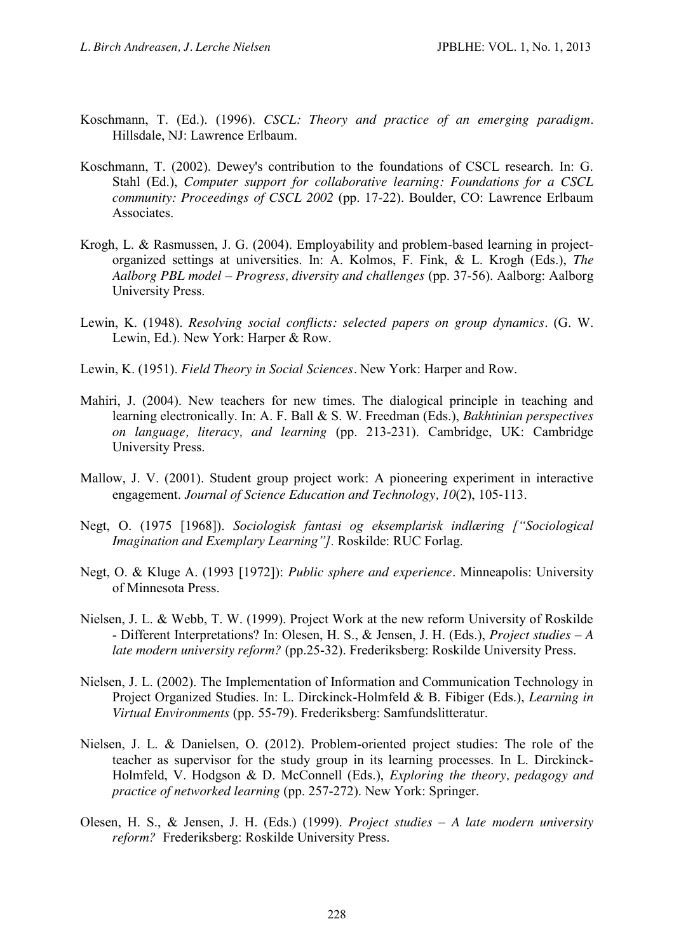- Koschmann, T. (Ed.). (1996). *CSCL: Theory and practice of an emerging paradigm*. Hillsdale, NJ: Lawrence Erlbaum.
- Koschmann, T. (2002). Dewey's contribution to the foundations of CSCL research. In: G. Stahl (Ed.), *Computer support for collaborative learning: Foundations for a CSCL community: Proceedings of CSCL 2002* (pp. 17-22). Boulder, CO: Lawrence Erlbaum Associates.
- Krogh, L. & Rasmussen, J. G. (2004). Employability and problem-based learning in projectorganized settings at universities. In: A. Kolmos, F. Fink, & L. Krogh (Eds.), *The Aalborg PBL model – Progress, diversity and challenges* (pp. 37-56). Aalborg: Aalborg University Press.
- Lewin, K. (1948). *Resolving social conflicts: selected papers on group dynamics.* (G. W. Lewin, Ed.). New York: Harper & Row.
- Lewin, K. (1951). *Field Theory in Social Sciences.* New York: Harper and Row.
- Mahiri, J. (2004). New teachers for new times. The dialogical principle in teaching and learning electronically. In: A. F. Ball & S. W. Freedman (Eds.), *Bakhtinian perspectives on language, literacy, and learning* (pp. 213-231). Cambridge, UK: Cambridge University Press.
- Mallow, J. V. (2001). Student group project work: A pioneering experiment in interactive engagement. *Journal of Science Education and Technology, 10*(2), 105-113.
- Negt, O. (1975 [1968]). *Sociologisk fantasi og eksemplarisk indlæring ["Sociological Imagination and Exemplary Learning"].* Roskilde: RUC Forlag.
- Negt, O. & Kluge A. (1993 [1972]): *Public sphere and experience.* Minneapolis: University of Minnesota Press.
- Nielsen, J. L. & Webb, T. W. (1999). Project Work at the new reform University of Roskilde - Different Interpretations? In: Olesen, H. S., & Jensen, J. H. (Eds.), *Project studies – A late modern university reform?* (pp.25-32). Frederiksberg: Roskilde University Press.
- Nielsen, J. L. (2002). The Implementation of Information and Communication Technology in Project Organized Studies. In: L. Dirckinck-Holmfeld & B. Fibiger (Eds.), *Learning in Virtual Environments* (pp. 55-79). Frederiksberg: Samfundslitteratur.
- Nielsen, J. L. & Danielsen, O. (2012). Problem-oriented project studies: The role of the teacher as supervisor for the study group in its learning processes. In L. Dirckinck-Holmfeld, V. Hodgson & D. McConnell (Eds.), *Exploring the theory, pedagogy and practice of networked learning* (pp. 257-272). New York: Springer.
- Olesen, H. S., & Jensen, J. H. (Eds.) (1999). *Project studies – A late modern university reform?* Frederiksberg: Roskilde University Press.